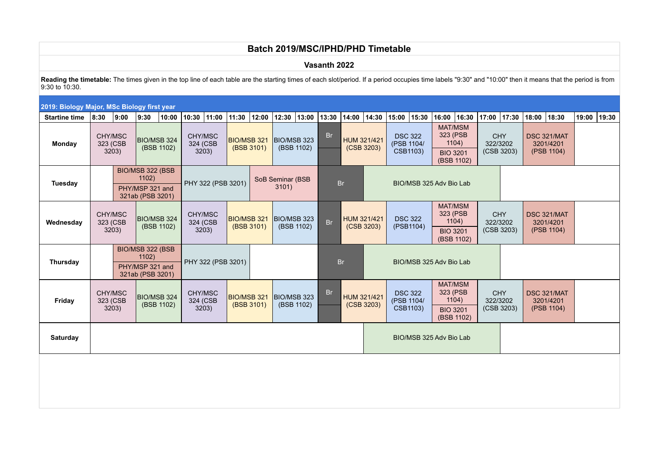# **Batch 2019/MSC/IPHD/PHD Timetable**

**Vasanth 2022**

Reading the timetable: The times given in the top line of each table are the starting times of each slot/period. If a period occupies time labels "9:30" and "10:00" then it means that the period is from 9:30 to 10:30.

| 2019: Biology Major, MSc Biology first year<br> 10:30  11:00  11:30  12:00<br> 12:30  13:00  13:30  14:00  14:30  15:00  15:30<br>16:00 16:30<br>$17:00$ 17:30<br>18:00 18:30<br>19:00 19:30 |                                                                  |                              |                           |                           |                                                                  |                              |                                  |                                  |                           |                         |                                        |             |             |                                          |                                                                      |                                                                      |                                                          |                                      |                                        |                                        |  |  |  |
|----------------------------------------------------------------------------------------------------------------------------------------------------------------------------------------------|------------------------------------------------------------------|------------------------------|---------------------------|---------------------------|------------------------------------------------------------------|------------------------------|----------------------------------|----------------------------------|---------------------------|-------------------------|----------------------------------------|-------------|-------------|------------------------------------------|----------------------------------------------------------------------|----------------------------------------------------------------------|----------------------------------------------------------|--------------------------------------|----------------------------------------|----------------------------------------|--|--|--|
| <b>Startine time</b>                                                                                                                                                                         | 8:30                                                             | 9:00                         | 9:30                      | 10:00                     |                                                                  |                              |                                  |                                  |                           |                         |                                        |             |             |                                          |                                                                      |                                                                      |                                                          |                                      |                                        |                                        |  |  |  |
| <b>Monday</b>                                                                                                                                                                                |                                                                  | CHY/MSC<br>323 (CSB<br>3203) |                           | BIO/MSB 324<br>(BSB 1102) |                                                                  | CHY/MSC<br>324 (CSB<br>3203) |                                  | <b>BIO/MSB 321</b><br>(BSB 3101) | BIO/MSB 323<br>(BSB 1102) |                         | <b>Br</b><br>HUM 321/421<br>(CSB 3203) |             |             |                                          | <b>DSC 322</b><br>(PSB 1104/<br>CSB1103)                             | 323 (PSB                                                             | <b>MAT/MSM</b><br>1104)<br><b>BIO 3201</b><br>(BSB 1102) | <b>CHY</b><br>322/3202<br>(CSB 3203) |                                        | DSC 321/MAT<br>3201/4201<br>(PSB 1104) |  |  |  |
| Tuesday                                                                                                                                                                                      | BIO/MSB 322 (BSB<br>1102)<br>PHY/MSP 321 and<br>321ab (PSB 3201) |                              |                           |                           |                                                                  | PHY 322 (PSB 3201)           |                                  | SoB Seminar (BSB<br>3101)        |                           | <b>Br</b>               |                                        |             |             |                                          |                                                                      | BIO/MSB 325 Adv Bio Lab                                              |                                                          |                                      |                                        |                                        |  |  |  |
| Wednesday                                                                                                                                                                                    |                                                                  | CHY/MSC<br>323 (CSB<br>3203) |                           | BIO/MSB 324<br>(BSB 1102) | CHY/MSC<br>324 (CSB<br>3203)                                     |                              | <b>BIO/MSB 321</b><br>(BSB 3101) |                                  | BIO/MSB 323               | (BSB 1102)              | Br                                     | (CSB 3203)  | HUM 321/421 |                                          | <b>DSC 322</b><br>(PSB1104)                                          | <b>MAT/MSM</b><br>323 (PSB<br>1104)<br><b>BIO 3201</b><br>(BSB 1102) |                                                          | <b>CHY</b><br>322/3202<br>(CSB 3203) |                                        | DSC 321/MAT<br>3201/4201<br>(PSB 1104) |  |  |  |
| Thursday                                                                                                                                                                                     | BIO/MSB 322 (BSB<br>1102)<br>PHY/MSP 321 and<br>321ab (PSB 3201) |                              |                           |                           | PHY 322 (PSB 3201)                                               |                              |                                  |                                  |                           |                         | <b>Br</b>                              |             |             |                                          | BIO/MSB 325 Adv Bio Lab                                              |                                                                      |                                                          |                                      |                                        |                                        |  |  |  |
| Friday                                                                                                                                                                                       |                                                                  | CHY/MSC<br>323 (CSB<br>3203) | BIO/MSB 324<br>(BSB 1102) |                           | CHY/MSC<br><b>BIO/MSB 321</b><br>324 (CSB<br>(BSB 3101)<br>3203) |                              |                                  | <b>BIO/MSB 323</b><br>(BSB 1102) |                           | <b>Br</b><br>(CSB 3203) |                                        | HUM 321/421 |             | <b>DSC 322</b><br>(PSB 1104/<br>CSB1103) | <b>MAT/MSM</b><br>323 (PSB<br>1104)<br><b>BIO 3201</b><br>(BSB 1102) |                                                                      | <b>CHY</b><br>322/3202<br>(CSB 3203)                     |                                      | DSC 321/MAT<br>3201/4201<br>(PSB 1104) |                                        |  |  |  |
| Saturday                                                                                                                                                                                     |                                                                  |                              |                           |                           |                                                                  |                              |                                  |                                  |                           |                         |                                        |             |             |                                          |                                                                      | BIO/MSB 325 Adv Bio Lab                                              |                                                          |                                      |                                        |                                        |  |  |  |
|                                                                                                                                                                                              |                                                                  |                              |                           |                           |                                                                  |                              |                                  |                                  |                           |                         |                                        |             |             |                                          |                                                                      |                                                                      |                                                          |                                      |                                        |                                        |  |  |  |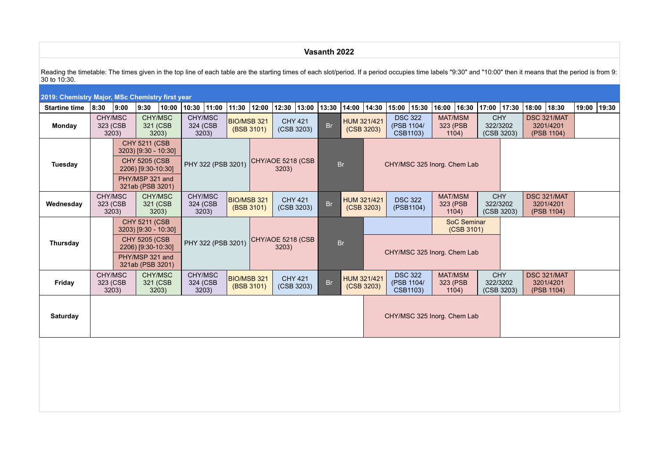### **Vasanth 2022**

Reading the timetable: The times given in the top line of each table are the starting times of each slot/period. If a period occupies time labels "9:30" and "10:00" then it means that the period is from 9: 30 to 10:30.

|                      | 2019: Chemistry Major, MSc Chemistry first year<br> 11:30  12:00  12:30  13:00  13:30  14:00  14:30 |                              |                                            |                                                              |                              |                                                                  |            |                            |                              |                                                          |                           |                             |                                          |                                          |                                     |                                     |                                        |                                                                                |                                        |             |       |       |
|----------------------|-----------------------------------------------------------------------------------------------------|------------------------------|--------------------------------------------|--------------------------------------------------------------|------------------------------|------------------------------------------------------------------|------------|----------------------------|------------------------------|----------------------------------------------------------|---------------------------|-----------------------------|------------------------------------------|------------------------------------------|-------------------------------------|-------------------------------------|----------------------------------------|--------------------------------------------------------------------------------|----------------------------------------|-------------|-------|-------|
| <b>Startine time</b> | 8:30                                                                                                | 9:00                         | 9:30                                       | 10:00                                                        | $10:30$ 11:00                |                                                                  |            |                            |                              |                                                          |                           |                             | 15:00 15:30                              |                                          |                                     | 16:00  16:30                        | 17:00 17:30                            |                                                                                |                                        | 18:00 18:30 | 19:00 | 19:30 |
| Monday               | CHY/MSC<br>323 (CSB<br>3203)                                                                        |                              | CHY/MSC<br>321 (CSB<br>3203)               |                                                              | CHY/MSC<br>324 (CSB<br>3203) | <b>BIO/MSB 321</b>                                               | (BSB 3101) |                            | <b>CHY 421</b><br>(CSB 3203) | <b>Br</b>                                                | HUM 321/421<br>(CSB 3203) |                             | <b>DSC 322</b><br>(PSB 1104/<br>CSB1103) |                                          | <b>MAT/MSM</b><br>323 (PSB<br>1104) |                                     | <b>CHY</b><br>322/3202<br>(CSB 3203)   |                                                                                | DSC 321/MAT<br>3201/4201<br>(PSB 1104) |             |       |       |
|                      | <b>CHY 5211 (CSB</b><br>3203) [9:30 - 10:30]                                                        |                              |                                            |                                                              |                              |                                                                  |            |                            |                              |                                                          |                           |                             |                                          |                                          |                                     |                                     |                                        |                                                                                |                                        |             |       |       |
| Tuesday              |                                                                                                     |                              | <b>CHY 5205 (CSB</b><br>2206) [9:30-10:30] |                                                              | PHY 322 (PSB 3201)           |                                                                  |            | CHY/AOE 5218 (CSB<br>3203) |                              |                                                          | <b>Br</b>                 | CHY/MSC 325 Inorg. Chem Lab |                                          |                                          |                                     |                                     |                                        |                                                                                |                                        |             |       |       |
|                      | PHY/MSP 321 and<br>321ab (PSB 3201)<br>CHY/MSC<br><b>CHY</b>                                        |                              |                                            |                                                              |                              |                                                                  |            |                            |                              |                                                          |                           |                             |                                          |                                          |                                     |                                     |                                        |                                                                                |                                        |             |       |       |
| Wednesday            | 323 (CSB<br>3203)                                                                                   | CHY/MSC<br>321 (CSB<br>3203) |                                            | CHY/MSC<br>324 (CSB<br>3203)                                 |                              | <b>BIO/MSB 321</b><br><b>CHY 421</b><br>(BSB 3101)<br>(CSB 3203) |            | <b>Br</b>                  |                              | <b>DSC 322</b><br>HUM 321/421<br>(PSB1104)<br>(CSB 3203) |                           |                             | <b>MAT/MSM</b><br>323 (PSB<br>1104)      |                                          | 322/3202<br>(CSB 3203)              |                                     | DSC 321/MAT<br>3201/4201<br>(PSB 1104) |                                                                                |                                        |             |       |       |
|                      | <b>CHY 5211 (CSB</b><br>3203) [9:30 - 10:30]                                                        |                              |                                            |                                                              |                              |                                                                  |            |                            |                              |                                                          |                           |                             |                                          | SoC Seminar<br>(CSB 3101)                |                                     |                                     |                                        |                                                                                |                                        |             |       |       |
| Thursday             |                                                                                                     |                              | <b>CHY 5205 (CSB</b><br>2206) [9:30-10:30] |                                                              | PHY 322 (PSB 3201)           |                                                                  |            | CHY/AOE 5218 (CSB<br>3203) |                              |                                                          | <b>Br</b>                 |                             |                                          |                                          | CHY/MSC 325 Inorg. Chem Lab         |                                     |                                        |                                                                                |                                        |             |       |       |
|                      |                                                                                                     |                              | PHY/MSP 321 and<br>321ab (PSB 3201)        |                                                              |                              |                                                                  |            |                            |                              |                                                          |                           |                             |                                          |                                          |                                     |                                     |                                        |                                                                                |                                        |             |       |       |
| Friday               |                                                                                                     | CHY/MSC<br>323 (CSB<br>3203) |                                            | CHY/MSC<br>CHY/MSC<br>321 (CSB<br>324 (CSB<br>3203)<br>3203) |                              | BIO/MSB 321<br>(BSB 3101)                                        |            | <b>CHY 421</b>             | (CSB 3203)                   | <b>Br</b>                                                |                           | HUM 321/421<br>(CSB 3203)   |                                          | <b>DSC 322</b><br>(PSB 1104/<br>CSB1103) |                                     | <b>MAT/MSM</b><br>323 (PSB<br>1104) |                                        | <b>CHY</b><br>DSC 321/MAT<br>322/3202<br>3201/4201<br>(CSB 3203)<br>(PSB 1104) |                                        |             |       |       |
| Saturday             |                                                                                                     |                              |                                            |                                                              |                              |                                                                  |            |                            |                              |                                                          |                           |                             | CHY/MSC 325 Inorg. Chem Lab              |                                          |                                     |                                     |                                        |                                                                                |                                        |             |       |       |
|                      |                                                                                                     |                              |                                            |                                                              |                              |                                                                  |            |                            |                              |                                                          |                           |                             |                                          |                                          |                                     |                                     |                                        |                                                                                |                                        |             |       |       |
|                      |                                                                                                     |                              |                                            |                                                              |                              |                                                                  |            |                            |                              |                                                          |                           |                             |                                          |                                          |                                     |                                     |                                        |                                                                                |                                        |             |       |       |
|                      |                                                                                                     |                              |                                            |                                                              |                              |                                                                  |            |                            |                              |                                                          |                           |                             |                                          |                                          |                                     |                                     |                                        |                                                                                |                                        |             |       |       |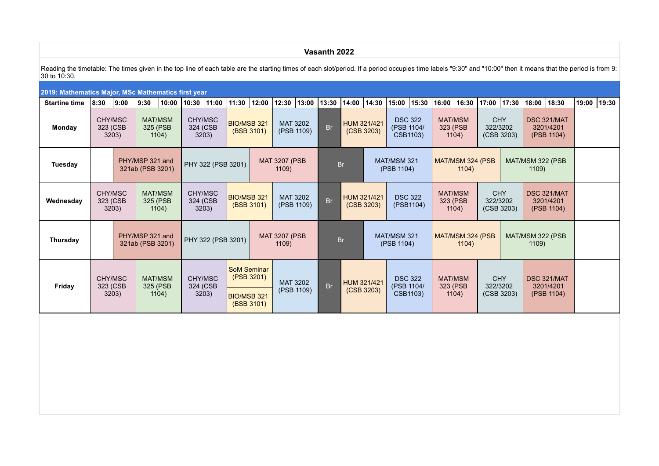## Reading the timetable: The times given in the top line of each table are the starting times of each slot/period. If a period occupies time labels "9:30" and "10:00" then it means that the period is from 9: 30 to 10:30.

**Vasanth 2022**

### **2019: Mathematics Major, MSc Mathematics first year** Startine time 8:30 9:00 9:30 10:00 10:30 11:00 11:30 12:00 12:30 13:00 13:30 14:00 14:30 15:00 15:30 16:00 16:30 17:00 17:00 17:30 18:00 19:30 19:00 19:30 **Monday** CHY/MSC 323 (CSB 3203) MAT/MSM 325 (PSB 1104) CHY/MSC 324 (CSB 3203) BIO/MSB 321 (BSB 3101) MAT 3202 MAT 3202 Br HUM 321/421<br>(PSB 1109) Br (CSB 3203) DSC 322 (PSB 1104/  $CSB1103$ MAT/MSM 323 (PSB 1104) **CHY** 322/3202 (CSB 3203) DSC 321/MAT 3201/4201 (PSB 1104) **Tuesday PHY/MSP 321 and**<br>321ab (PSB 3201) PHY 322 (PSB 3201) MAT 3207 (PSB **1209** Br MAT/MSM 321 (PSB 1104) MAT/MSM 324 (PSB 1104) MAT/MSM 322 (PSB 1109) **Wednesday** CHY/MSC 323 (CSB 3203) MAT/MSM 325 (PSB 1104) CHY/MSC 324 (CSB 3203) BIO/MSB 321 (BSB 3101) MAT 3202<br>(PSB 1109)  $Br$   $HUM$  321/421 (CSB 3203) DSC 322 (PSB1104) MAT/MSM 323 (PSB 1104) **CHY** 322/3202 (CSB 3203) DSC 321/MAT 3201/4201 (PSB 1104) **Thursday PHY/MSP 321 and PHY/MSP 321 and** PHY 322 (PSB 3201) MAT 3207 (PSB 1109) Br MAT/MSM 321 (PSB 1104) MAT/MSM 324 (PSB 1104) MAT/MSM 322 (PSB 1109) **Friday** CHY/MSC 323 (CSB 3203) MAT/MSM 325 (PSB 1104) CHY/MSC 324 (CSB 3203) SoM Seminar (PSB 3201) MAT 3202 MAT 3202 Br HUM 321/421<br>(PSB 1109) Br (CSB 3203) DSC 322 (PSB 1104/ CSB1103) MAT/MSM 323 (PSB 1104) **CHY** 322/3202 (CSB 3203) DSC 321/MAT 3201/4201  $\overline{B}$ IO/MSB 321 (CD 1105)  $\overline{C}$  (COD 5200)  $\overline{D}$  CSB1103)  $\overline{D}$  (CSB 3203) (PSB 1104) (BSB 3101)